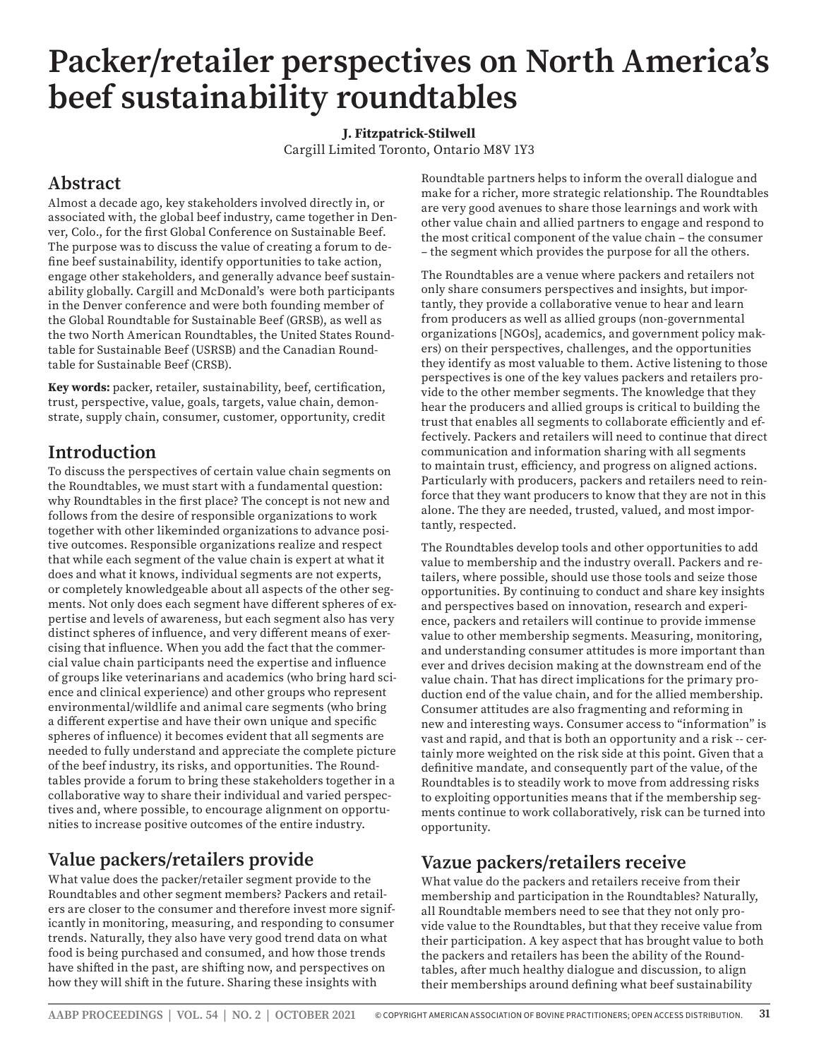# **Packer/retailer perspectives on North America's beef sustainability roundtables**

#### **J. Fitzpatrick-Stilwell**

Cargill Limited Toronto, Ontario M8V 1Y3

# **Abstract**

Almost a decade ago, key stakeholders involved directly in, or associated with, the global beef industry, came together in Denver, Colo., for the first Global Conference on Sustainable Beef. The purpose was to discuss the value of creating a forum to define beef sustainability, identify opportunities to take action, engage other stakeholders, and generally advance beef sustainability globally. Cargill and McDonald's were both participants in the Denver conference and were both founding member of the Global Roundtable for Sustainable Beef (GRSB), as well as the two North American Roundtables, the United States Roundtable for Sustainable Beef (USRSB) and the Canadian Roundtable for Sustainable Beef (CRSB).

**Key words:** packer, retailer, sustainability, beef, certification, trust, perspective, value, goals, targets, value chain, demonstrate, supply chain, consumer, customer, opportunity, credit

# **Introduction**

To discuss the perspectives of certain value chain segments on the Roundtables, we must start with a fundamental question: why Roundtables in the first place? The concept is not new and follows from the desire of responsible organizations to work together with other likeminded organizations to advance positive outcomes. Responsible organizations realize and respect that while each segment of the value chain is expert at what it does and what it knows, individual segments are not experts, or completely knowledgeable about all aspects of the other segments. Not only does each segment have different spheres of expertise and levels of awareness, but each segment also has very distinct spheres of influence, and very different means of exercising that influence. When you add the fact that the commercial value chain participants need the expertise and influence of groups like veterinarians and academics (who bring hard science and clinical experience) and other groups who represent environmental/wildlife and animal care segments (who bring a different expertise and have their own unique and specific spheres of influence) it becomes evident that all segments are needed to fully understand and appreciate the complete picture of the beef industry, its risks, and opportunities. The Roundtables provide a forum to bring these stakeholders together in a collaborative way to share their individual and varied perspectives and, where possible, to encourage alignment on opportunities to increase positive outcomes of the entire industry.

# **Value packers/retailers provide**

What value does the packer/retailer segment provide to the Roundtables and other segment members? Packers and retailers are closer to the consumer and therefore invest more significantly in monitoring, measuring, and responding to consumer trends. Naturally, they also have very good trend data on what food is being purchased and consumed, and how those trends have shifted in the past, are shifting now, and perspectives on how they will shift in the future. Sharing these insights with

Roundtable partners helps to inform the overall dialogue and make for a richer, more strategic relationship. The Roundtables are very good avenues to share those learnings and work with other value chain and allied partners to engage and respond to the most critical component of the value chain – the consumer – the segment which provides the purpose for all the others.

The Roundtables are a venue where packers and retailers not only share consumers perspectives and insights, but importantly, they provide a collaborative venue to hear and learn from producers as well as allied groups (non-governmental organizations [NGOs], academics, and government policy makers) on their perspectives, challenges, and the opportunities they identify as most valuable to them. Active listening to those perspectives is one of the key values packers and retailers provide to the other member segments. The knowledge that they hear the producers and allied groups is critical to building the trust that enables all segments to collaborate efficiently and effectively. Packers and retailers will need to continue that direct communication and information sharing with all segments to maintain trust, efficiency, and progress on aligned actions. Particularly with producers, packers and retailers need to reinforce that they want producers to know that they are not in this alone. The they are needed, trusted, valued, and most importantly, respected.

The Roundtables develop tools and other opportunities to add value to membership and the industry overall. Packers and retailers, where possible, should use those tools and seize those opportunities. By continuing to conduct and share key insights and perspectives based on innovation, research and experience, packers and retailers will continue to provide immense value to other membership segments. Measuring, monitoring, and understanding consumer attitudes is more important than ever and drives decision making at the downstream end of the value chain. That has direct implications for the primary production end of the value chain, and for the allied membership. Consumer attitudes are also fragmenting and reforming in new and interesting ways. Consumer access to "information" is vast and rapid, and that is both an opportunity and a risk -- certainly more weighted on the risk side at this point. Given that a definitive mandate, and consequently part of the value, of the Roundtables is to steadily work to move from addressing risks to exploiting opportunities means that if the membership segments continue to work collaboratively, risk can be turned into opportunity.

### **Vazue packers/retailers receive**

What value do the packers and retailers receive from their membership and participation in the Roundtables? Naturally, all Roundtable members need to see that they not only provide value to the Roundtables, but that they receive value from their participation. A key aspect that has brought value to both the packers and retailers has been the ability of the Roundtables, after much healthy dialogue and discussion, to align their memberships around defining what beef sustainability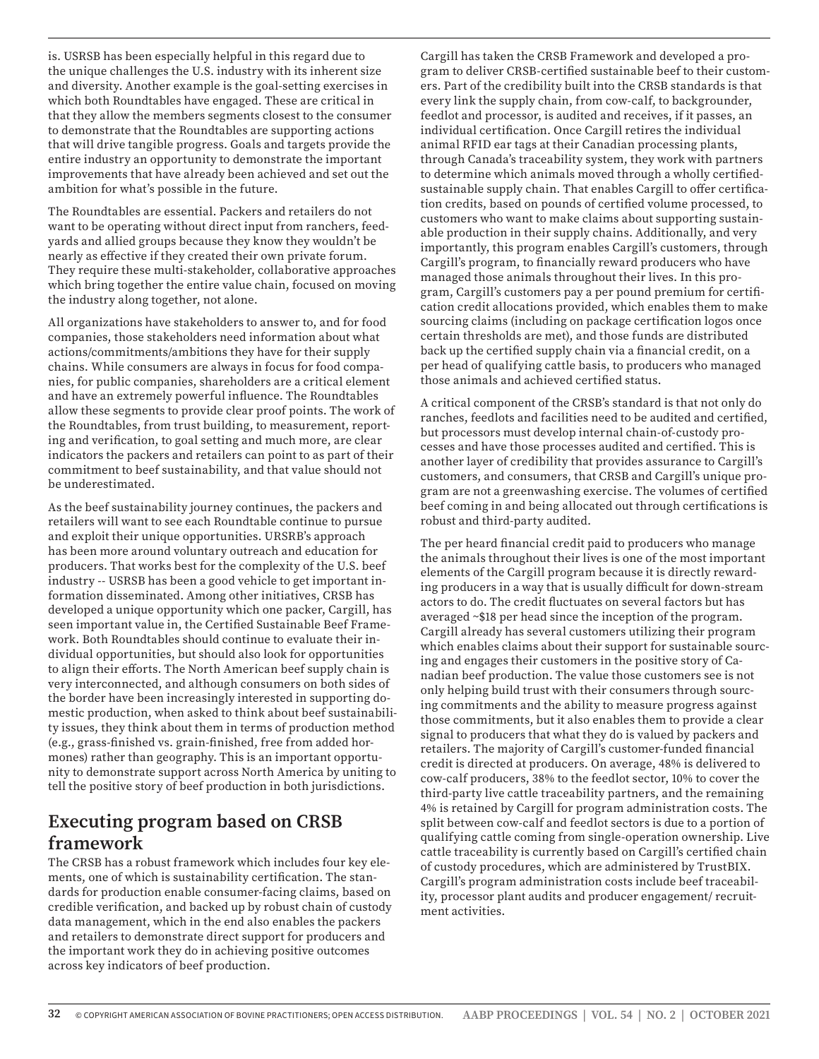is. USRSB has been especially helpful in this regard due to the unique challenges the U.S. industry with its inherent size and diversity. Another example is the goal-setting exercises in which both Roundtables have engaged. These are critical in that they allow the members segments closest to the consumer to demonstrate that the Roundtables are supporting actions that will drive tangible progress. Goals and targets provide the entire industry an opportunity to demonstrate the important improvements that have already been achieved and set out the ambition for what's possible in the future.

The Roundtables are essential. Packers and retailers do not want to be operating without direct input from ranchers, feedyards and allied groups because they know they wouldn't be nearly as effective if they created their own private forum. They require these multi-stakeholder, collaborative approaches which bring together the entire value chain, focused on moving the industry along together, not alone.

All organizations have stakeholders to answer to, and for food companies, those stakeholders need information about what actions/commitments/ambitions they have for their supply chains. While consumers are always in focus for food companies, for public companies, shareholders are a critical element and have an extremely powerful influence. The Roundtables allow these segments to provide clear proof points. The work of the Roundtables, from trust building, to measurement, reporting and verification, to goal setting and much more, are clear indicators the packers and retailers can point to as part of their commitment to beef sustainability, and that value should not be underestimated.

As the beef sustainability journey continues, the packers and retailers will want to see each Roundtable continue to pursue and exploit their unique opportunities. URSRB's approach has been more around voluntary outreach and education for producers. That works best for the complexity of the U.S. beef industry -- USRSB has been a good vehicle to get important information disseminated. Among other initiatives, CRSB has developed a unique opportunity which one packer, Cargill, has seen important value in, the Certified Sustainable Beef Framework. Both Roundtables should continue to evaluate their individual opportunities, but should also look for opportunities to align their efforts. The North American beef supply chain is very interconnected, and although consumers on both sides of the border have been increasingly interested in supporting domestic production, when asked to think about beef sustainability issues, they think about them in terms of production method (e.g., grass-finished vs. grain-finished, free from added hormones) rather than geography. This is an important opportunity to demonstrate support across North America by uniting to tell the positive story of beef production in both jurisdictions.

# **Executing program based on CRSB framework**

The CRSB has a robust framework which includes four key elements, one of which is sustainability certification. The standards for production enable consumer-facing claims, based on credible verification, and backed up by robust chain of custody data management, which in the end also enables the packers and retailers to demonstrate direct support for producers and the important work they do in achieving positive outcomes across key indicators of beef production.

Cargill has taken the CRSB Framework and developed a program to deliver CRSB-certified sustainable beef to their customers. Part of the credibility built into the CRSB standards is that every link the supply chain, from cow-calf, to backgrounder, feedlot and processor, is audited and receives, if it passes, an individual certification. Once Cargill retires the individual animal RFID ear tags at their Canadian processing plants, through Canada's traceability system, they work with partners to determine which animals moved through a wholly certifiedsustainable supply chain. That enables Cargill to offer certification credits, based on pounds of certified volume processed, to customers who want to make claims about supporting sustainable production in their supply chains. Additionally, and very importantly, this program enables Cargill's customers, through Cargill's program, to financially reward producers who have managed those animals throughout their lives. In this program, Cargill's customers pay a per pound premium for certification credit allocations provided, which enables them to make sourcing claims (including on package certification logos once certain thresholds are met), and those funds are distributed back up the certified supply chain via a financial credit, on a per head of qualifying cattle basis, to producers who managed those animals and achieved certified status.

A critical component of the CRSB's standard is that not only do ranches, feedlots and facilities need to be audited and certified, but processors must develop internal chain-of-custody processes and have those processes audited and certified. This is another layer of credibility that provides assurance to Cargill's customers, and consumers, that CRSB and Cargill's unique program are not a greenwashing exercise. The volumes of certified beef coming in and being allocated out through certifications is robust and third-party audited.

The per heard financial credit paid to producers who manage the animals throughout their lives is one of the most important elements of the Cargill program because it is directly rewarding producers in a way that is usually difficult for down-stream actors to do. The credit fluctuates on several factors but has averaged ~\$18 per head since the inception of the program. Cargill already has several customers utilizing their program which enables claims about their support for sustainable sourcing and engages their customers in the positive story of Canadian beef production. The value those customers see is not only helping build trust with their consumers through sourcing commitments and the ability to measure progress against those commitments, but it also enables them to provide a clear signal to producers that what they do is valued by packers and retailers. The majority of Cargill's customer-funded financial credit is directed at producers. On average, 48% is delivered to cow-calf producers, 38% to the feedlot sector, 10% to cover the third-party live cattle traceability partners, and the remaining 4% is retained by Cargill for program administration costs. The split between cow-calf and feedlot sectors is due to a portion of qualifying cattle coming from single-operation ownership. Live cattle traceability is currently based on Cargill's certified chain of custody procedures, which are administered by TrustBIX. Cargill's program administration costs include beef traceability, processor plant audits and producer engagement/ recruitment activities.